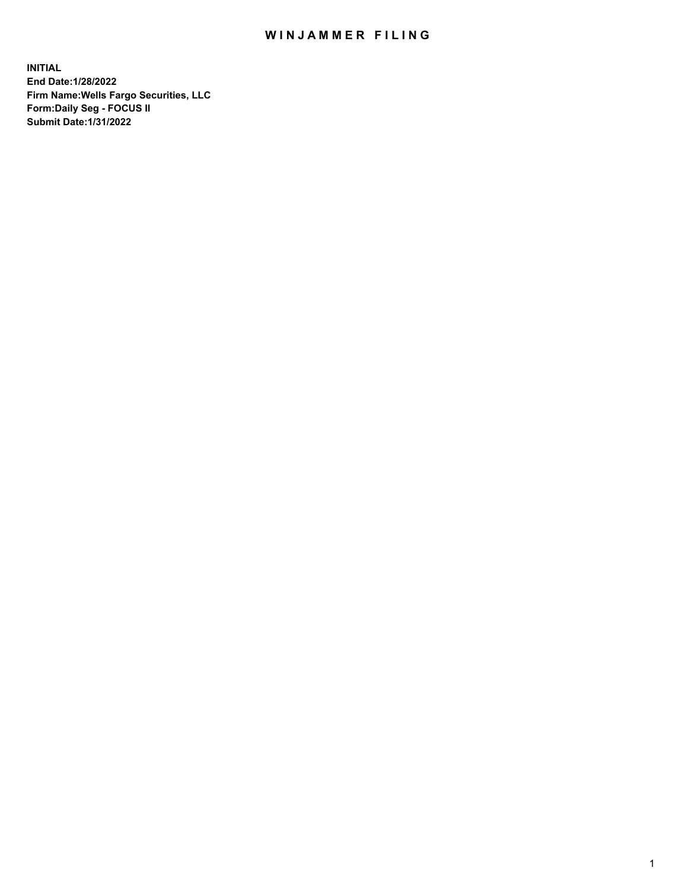## WIN JAMMER FILING

**INITIAL End Date:1/28/2022 Firm Name:Wells Fargo Securities, LLC Form:Daily Seg - FOCUS II Submit Date:1/31/2022**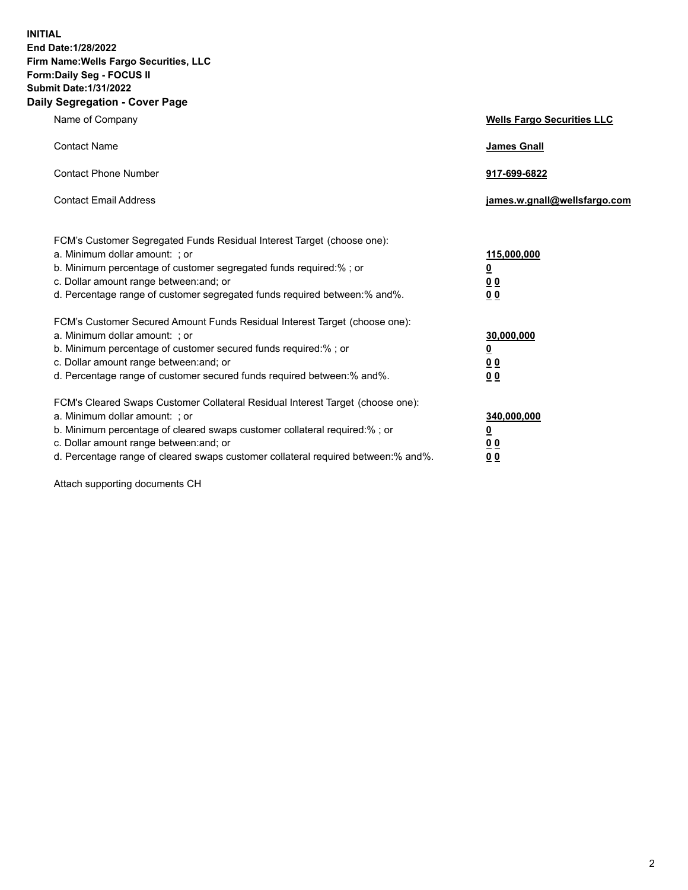**INITIAL End Date:1/28/2022 Firm Name:Wells Fargo Securities, LLC Form:Daily Seg - FOCUS II Submit Date:1/31/2022 Daily Segregation - Cover Page**

| Name of Company                                                                                                                                                                                                                                                                                                                | <b>Wells Fargo Securities LLC</b>                          |
|--------------------------------------------------------------------------------------------------------------------------------------------------------------------------------------------------------------------------------------------------------------------------------------------------------------------------------|------------------------------------------------------------|
| <b>Contact Name</b>                                                                                                                                                                                                                                                                                                            | <b>James Gnall</b>                                         |
| <b>Contact Phone Number</b>                                                                                                                                                                                                                                                                                                    | 917-699-6822                                               |
| <b>Contact Email Address</b>                                                                                                                                                                                                                                                                                                   | james.w.gnall@wellsfargo.com                               |
| FCM's Customer Segregated Funds Residual Interest Target (choose one):<br>a. Minimum dollar amount: ; or<br>b. Minimum percentage of customer segregated funds required:% ; or<br>c. Dollar amount range between: and; or<br>d. Percentage range of customer segregated funds required between:% and%.                         | 115,000,000<br><u>0</u><br>0 <sub>0</sub><br>00            |
| FCM's Customer Secured Amount Funds Residual Interest Target (choose one):<br>a. Minimum dollar amount: ; or<br>b. Minimum percentage of customer secured funds required:%; or<br>c. Dollar amount range between: and; or<br>d. Percentage range of customer secured funds required between:% and%.                            | 30,000,000<br><u>0</u><br>0 <sub>0</sub><br>0 <sub>0</sub> |
| FCM's Cleared Swaps Customer Collateral Residual Interest Target (choose one):<br>a. Minimum dollar amount: ; or<br>b. Minimum percentage of cleared swaps customer collateral required:% ; or<br>c. Dollar amount range between: and; or<br>d. Percentage range of cleared swaps customer collateral required between:% and%. | 340,000,000<br><u>0</u><br>00<br>00                        |

Attach supporting documents CH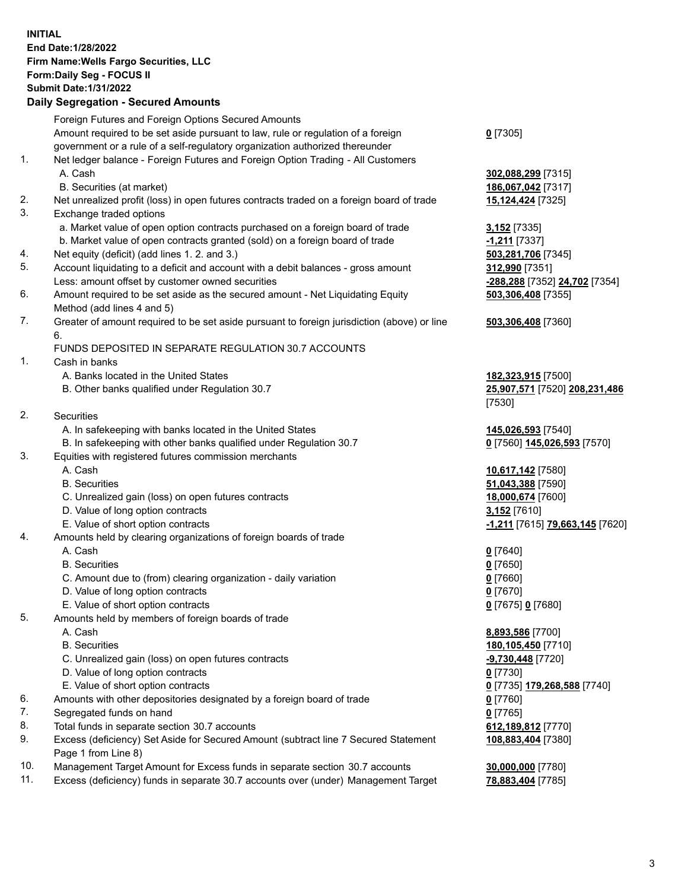**INITIAL End Date:1/28/2022 Firm Name:Wells Fargo Securities, LLC Form:Daily Seg - FOCUS II Submit Date:1/31/2022**

## **Daily Segregation - Secured Amounts**

|    | Foreign Futures and Foreign Options Secured Amounts                                         |                                 |
|----|---------------------------------------------------------------------------------------------|---------------------------------|
|    | Amount required to be set aside pursuant to law, rule or regulation of a foreign            | $0$ [7305]                      |
|    | government or a rule of a self-regulatory organization authorized thereunder                |                                 |
| 1. | Net ledger balance - Foreign Futures and Foreign Option Trading - All Customers             |                                 |
|    | A. Cash                                                                                     | 302,088,299 [7315]              |
|    | B. Securities (at market)                                                                   | 186,067,042 [7317]              |
| 2. | Net unrealized profit (loss) in open futures contracts traded on a foreign board of trade   | 15,124,424 [7325]               |
| 3. | Exchange traded options                                                                     |                                 |
|    | a. Market value of open option contracts purchased on a foreign board of trade              | <b>3,152</b> [7335]             |
|    | b. Market value of open contracts granted (sold) on a foreign board of trade                | -1,211 [7337]                   |
| 4. | Net equity (deficit) (add lines 1. 2. and 3.)                                               | 503,281,706 [7345]              |
| 5. | Account liquidating to a deficit and account with a debit balances - gross amount           | 312,990 [7351]                  |
|    | Less: amount offset by customer owned securities                                            | -288,288 [7352] 24,702 [7354]   |
| 6. | Amount required to be set aside as the secured amount - Net Liquidating Equity              | 503,306,408 [7355]              |
|    | Method (add lines 4 and 5)                                                                  |                                 |
| 7. | Greater of amount required to be set aside pursuant to foreign jurisdiction (above) or line | 503,306,408 [7360]              |
|    | 6.                                                                                          |                                 |
|    | FUNDS DEPOSITED IN SEPARATE REGULATION 30.7 ACCOUNTS                                        |                                 |
| 1. | Cash in banks                                                                               |                                 |
|    | A. Banks located in the United States                                                       | 182,323,915 [7500]              |
|    | B. Other banks qualified under Regulation 30.7                                              | 25,907,571 [7520] 208,231,486   |
|    |                                                                                             | [7530]                          |
| 2. | Securities                                                                                  |                                 |
|    | A. In safekeeping with banks located in the United States                                   |                                 |
|    | B. In safekeeping with other banks qualified under Regulation 30.7                          | 145,026,593 [7540]              |
| 3. |                                                                                             | 0 [7560] 145,026,593 [7570]     |
|    | Equities with registered futures commission merchants<br>A. Cash                            |                                 |
|    |                                                                                             | 10,617,142 [7580]               |
|    | <b>B.</b> Securities                                                                        | 51,043,388 [7590]               |
|    | C. Unrealized gain (loss) on open futures contracts                                         | 18,000,674 [7600]               |
|    | D. Value of long option contracts                                                           | 3,152 [7610]                    |
|    | E. Value of short option contracts                                                          | -1,211 [7615] 79,663,145 [7620] |
| 4. | Amounts held by clearing organizations of foreign boards of trade                           |                                 |
|    | A. Cash                                                                                     | $0$ [7640]                      |
|    | <b>B.</b> Securities                                                                        | $0$ [7650]                      |
|    | C. Amount due to (from) clearing organization - daily variation                             | $0$ [7660]                      |
|    | D. Value of long option contracts                                                           | $0$ [7670]                      |
|    | E. Value of short option contracts                                                          | 0 [7675] 0 [7680]               |
| 5. | Amounts held by members of foreign boards of trade                                          |                                 |
|    | A. Cash                                                                                     | 8,893,586 [7700]                |
|    | <b>B.</b> Securities                                                                        | 180,105,450 [7710]              |
|    | C. Unrealized gain (loss) on open futures contracts                                         | $-9,730,448$ [7720]             |
|    | D. Value of long option contracts                                                           | $0$ [7730]                      |
|    | E. Value of short option contracts                                                          | 0 [7735] 179,268,588 [7740]     |
| 6. | Amounts with other depositories designated by a foreign board of trade                      | 0 [7760]                        |
| 7. | Segregated funds on hand                                                                    | $0$ [7765]                      |
| 8. | Total funds in separate section 30.7 accounts                                               | 612,189,812 [7770]              |
| 9. | Excess (deficiency) Set Aside for Secured Amount (subtract line 7 Secured Statement         | 108,883,404 [7380]              |
|    | Page 1 from Line 8)                                                                         |                                 |

- 10. Management Target Amount for Excess funds in separate section 30.7 accounts **30,000,000** [7780]
- 11. Excess (deficiency) funds in separate 30.7 accounts over (under) Management Target **78,883,404** [7785]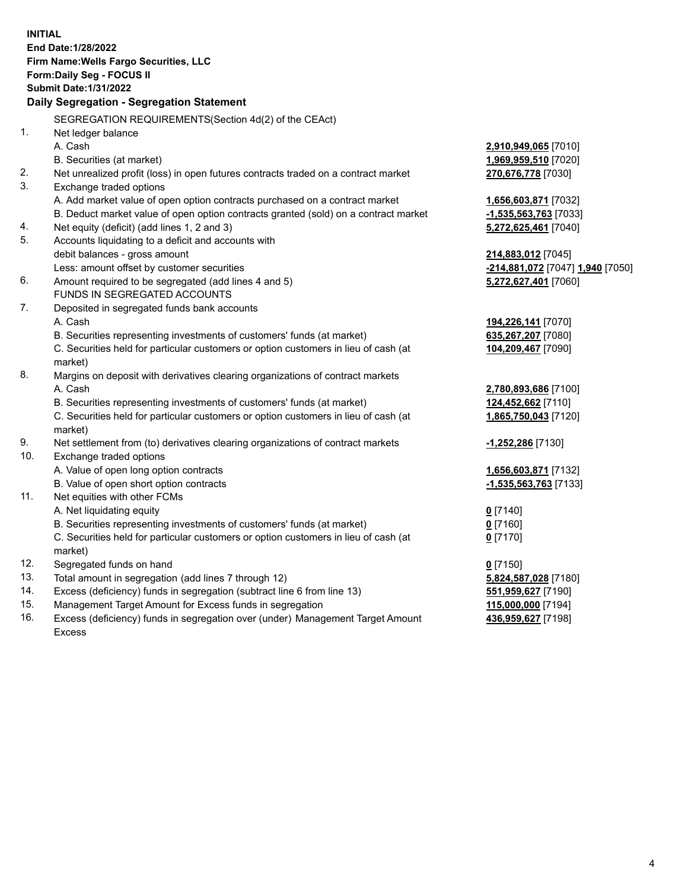**INITIAL End Date:1/28/2022 Firm Name:Wells Fargo Securities, LLC Form:Daily Seg - FOCUS II Submit Date:1/31/2022 Daily Segregation - Segregation Statement** SEGREGATION REQUIREMENTS(Section 4d(2) of the CEAct) 1. Net ledger balance A. Cash **2,910,949,065** [7010] B. Securities (at market) **1,969,959,510** [7020] 2. Net unrealized profit (loss) in open futures contracts traded on a contract market **270,676,778** [7030] 3. Exchange traded options A. Add market value of open option contracts purchased on a contract market **1,656,603,871** [7032] B. Deduct market value of open option contracts granted (sold) on a contract market **-1,535,563,763** [7033] 4. Net equity (deficit) (add lines 1, 2 and 3) **5,272,625,461** [7040] 5. Accounts liquidating to a deficit and accounts with debit balances - gross amount **214,883,012** [7045] Less: amount offset by customer securities **-214,881,072** [7047] **1,940** [7050] 6. Amount required to be segregated (add lines 4 and 5) **5,272,627,401** [7060] FUNDS IN SEGREGATED ACCOUNTS 7. Deposited in segregated funds bank accounts A. Cash **194,226,141** [7070] B. Securities representing investments of customers' funds (at market) **635,267,207** [7080] C. Securities held for particular customers or option customers in lieu of cash (at market) **104,209,467** [7090] 8. Margins on deposit with derivatives clearing organizations of contract markets A. Cash **2,780,893,686** [7100] B. Securities representing investments of customers' funds (at market) **124,452,662** [7110] C. Securities held for particular customers or option customers in lieu of cash (at market) **1,865,750,043** [7120] 9. Net settlement from (to) derivatives clearing organizations of contract markets **-1,252,286** [7130] 10. Exchange traded options A. Value of open long option contracts **1,656,603,871** [7132] B. Value of open short option contracts **-1,535,563,763** [7133] 11. Net equities with other FCMs A. Net liquidating equity **0** [7140] B. Securities representing investments of customers' funds (at market) **0** [7160] C. Securities held for particular customers or option customers in lieu of cash (at market) **0** [7170] 12. Segregated funds on hand **0** [7150] 13. Total amount in segregation (add lines 7 through 12) **5,824,587,028** [7180] 14. Excess (deficiency) funds in segregation (subtract line 6 from line 13) **551,959,627** [7190] 15. Management Target Amount for Excess funds in segregation **115,000,000** [7194] 16. Excess (deficiency) funds in segregation over (under) Management Target Amount **436,959,627** [7198]

Excess